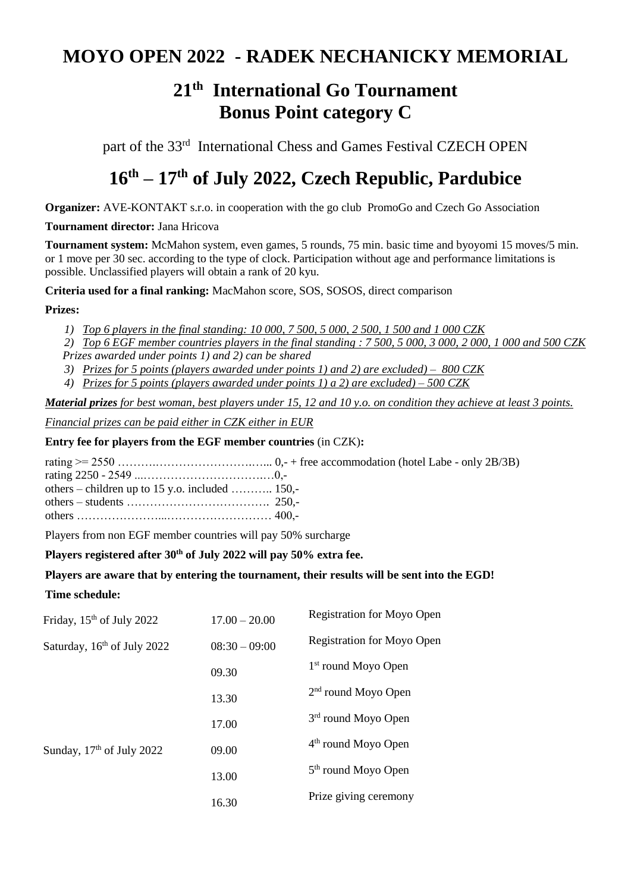## **MOYO OPEN 2022 - RADEK NECHANICKY MEMORIAL**

# **21th International Go Tournament Bonus Point category C**

part of the 33<sup>rd</sup> International Chess and Games Festival CZECH OPEN

# **16 th – 17 th of July 2022, Czech Republic, Pardubice**

**Organizer:** AVE-KONTAKT s.r.o. in cooperation with the go club PromoGo and Czech Go Association

## **Tournament director:** Jana Hricova

**Tournament system:** McMahon system, even games, 5 rounds, 75 min. basic time and byoyomi 15 moves/5 min. or 1 move per 30 sec. according to the type of clock. Participation without age and performance limitations is possible. Unclassified players will obtain a rank of 20 kyu.

**Criteria used for a final ranking:** MacMahon score, SOS, SOSOS, direct comparison

## **Prizes:**

*1) Top 6 players in the final standing: 10 000, 7 500, 5 000, 2 500, 1 500 and 1 000 CZK*

*2) Top 6 EGF member countries players in the final standing : 7 500, 5 000, 3 000, 2 000, 1 000 and 500 CZK Prizes awarded under points 1) and 2) can be shared*

- *3) Prizes for 5 points (players awarded under points 1) and 2) are excluded) – 800 CZK*
- *4) Prizes for 5 points (players awarded under points 1) a 2) are excluded) – 500 CZK*

*Material prizes for best woman, best players under 15, 12 and 10 y.o. on condition they achieve at least 3 points.*

*Financial prizes can be paid either in CZK either in EUR*

## **Entry fee for players from the EGF member countries** (in CZK)**:**

rating >= 2550 ……….…………………….…... 0,- + free accommodation (hotel Labe - only 2B/3B) rating 2250 - 2549 ...………………………….…0, others – children up to 15 y.o. included ……….. 150, others – students ………………………………. 250, others …………………...……………………… 400,-

Players from non EGF member countries will pay 50% surcharge

## **Players registered after 30th of July 2022 will pay 50% extra fee.**

## **Players are aware that by entering the tournament, their results will be sent into the EGD!**

## **Time schedule:**

| Friday, 15 <sup>th</sup> of July 2022                                  | $17.00 - 20.00$ | <b>Registration for Moyo Open</b> |  |
|------------------------------------------------------------------------|-----------------|-----------------------------------|--|
| Saturday, 16 <sup>th</sup> of July 2022<br>Sunday, $17th$ of July 2022 | $08:30 - 09:00$ | <b>Registration for Moyo Open</b> |  |
|                                                                        | 09.30           | 1 <sup>st</sup> round Moyo Open   |  |
|                                                                        | 13.30           | $2nd$ round Moyo Open             |  |
|                                                                        | 17.00           | 3 <sup>rd</sup> round Moyo Open   |  |
|                                                                        | 09.00           | 4 <sup>th</sup> round Moyo Open   |  |
|                                                                        | 13.00           | 5 <sup>th</sup> round Moyo Open   |  |
|                                                                        |                 | Prize giving ceremony             |  |
|                                                                        | 16.30           |                                   |  |